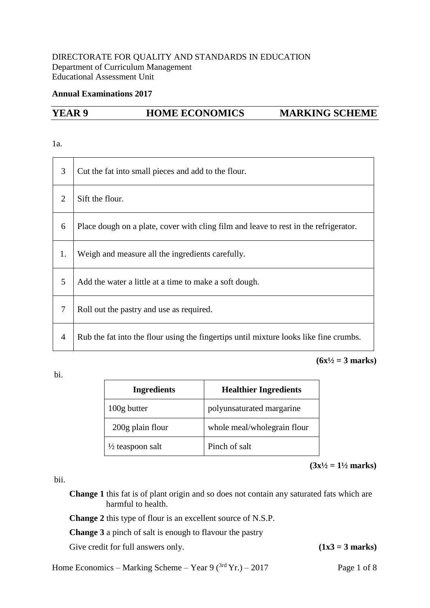## DIRECTORATE FOR QUALITY AND STANDARDS IN EDUCATION Department of Curriculum Management Educational Assessment Unit

## **Annual Examinations 2017**

# YEAR 9 **HOME ECONOMICS** MARKING SCHEME

#### 1a.

| 3  | Cut the fat into small pieces and add to the flour.                                   |
|----|---------------------------------------------------------------------------------------|
| 2  | Sift the flour.                                                                       |
| 6  | Place dough on a plate, cover with cling film and leave to rest in the refrigerator.  |
| 1. | Weigh and measure all the ingredients carefully.                                      |
| 5  | Add the water a little at a time to make a soft dough.                                |
| 7  | Roll out the pastry and use as required.                                              |
| 4  | Rub the fat into the flour using the fingertips until mixture looks like fine crumbs. |

 $(6x^{1/2} = 3 \text{ marks})$ 

bi.

| <b>Ingredients</b>          | <b>Healthier Ingredients</b> |
|-----------------------------|------------------------------|
| 100g butter                 | polyunsaturated margarine    |
| 200g plain flour            | whole meal/wholegrain flour  |
| $\frac{1}{2}$ teaspoon salt | Pinch of salt                |

 $(3x^{1/2} = 1^{1/2} \text{ marks})$ 

bii.

 **Change 1** this fat is of plant origin and so does not contain any saturated fats which are harmful to health.

**Change 2** this type of flour is an excellent source of N.S.P.

**Change 3** a pinch of salt is enough to flavour the pastry

Give credit for full answers only.  $(1x3 = 3 \text{ marks})$ 

Home Economics – Marking Scheme – Year 9 ( $3rd$  Yr.) – 2017 Page 1 of 8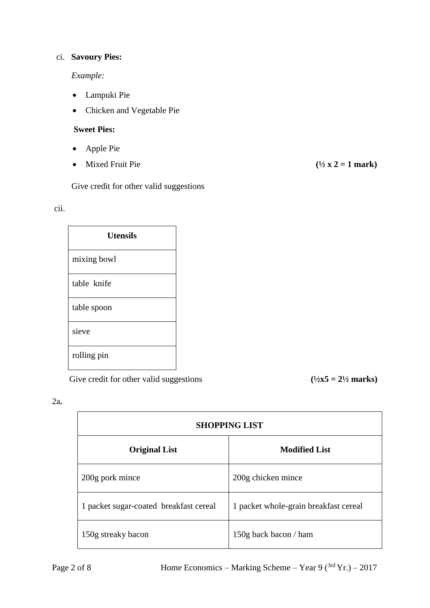## ci. **Savoury Pies:**

*Example:*

- Lampuki Pie
- Chicken and Vegetable Pie

### **Sweet Pies:**

- Apple Pie
- Mixed Fruit Pie  $(1/2 \times 2 = 1 \text{ mark})$

Give credit for other valid suggestions

cii.

| <b>Utensils</b> |
|-----------------|
| mixing bowl     |
| table knife     |
| table spoon     |
| sieve           |
| rolling pin     |

Give credit for other valid suggestions  $(1/2x5 = 21/2 \text{ marks})$ 

2a**.** 

| <b>SHOPPING LIST</b>                   |                                       |
|----------------------------------------|---------------------------------------|
| <b>Original List</b>                   | <b>Modified List</b>                  |
| 200g pork mince                        | 200g chicken mince                    |
| 1 packet sugar-coated breakfast cereal | 1 packet whole-grain breakfast cereal |
| 150g streaky bacon                     | 150g back bacon / ham                 |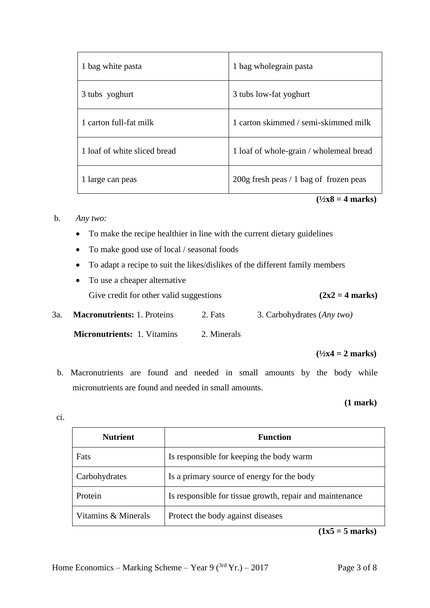| 1 bag white pasta            | 1 bag wholegrain pasta                   |
|------------------------------|------------------------------------------|
| 3 tubs yoghurt               | 3 tubs low-fat yoghurt                   |
| 1 carton full-fat milk       | 1 carton skimmed / semi-skimmed milk     |
| 1 loaf of white sliced bread | 1 loaf of whole-grain / wholemeal bread  |
| 1 large can peas             | $200g$ fresh peas / 1 bag of frozen peas |
|                              | $(\frac{1}{2}x8 = 4 \text{ marks})$      |

## b.*Any two:*

- To make the recipe healthier in line with the current dietary guidelines
- To make good use of local / seasonal foods
- To adapt a recipe to suit the likes/dislikes of the different family members
- To use a cheaper alternative Give credit for other valid suggestions  $(2x2 = 4 \text{ marks})$
- 3a. **Macronutrients:** 1. Proteins 2. Fats 3. Carbohydrates (*Any two)*

**Micronutrients:** 1. Vitamins 2. Minerals

#### $(^{1}/_{2}x4 = 2$  marks)

b. Macronutrients are found and needed in small amounts by the body while micronutrients are found and needed in small amounts.

#### **(1 mark)**

ci.

| <b>Nutrient</b>     | <b>Function</b>                                          |
|---------------------|----------------------------------------------------------|
| Fats                | Is responsible for keeping the body warm                 |
| Carbohydrates       | Is a primary source of energy for the body               |
| Protein             | Is responsible for tissue growth, repair and maintenance |
| Vitamins & Minerals | Protect the body against diseases                        |

 **(1x5 = 5 marks)**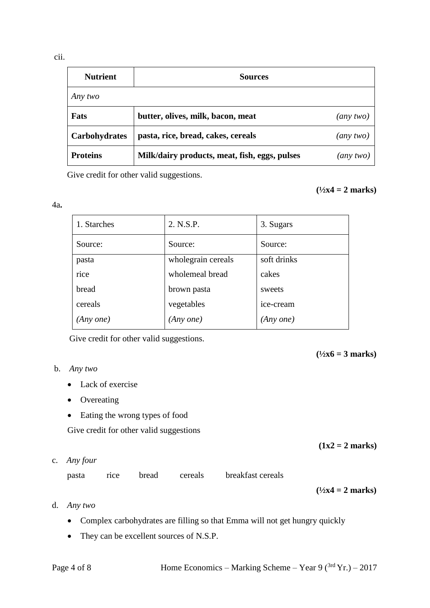cii.

| <b>Nutrient</b>      | <b>Sources</b>                                |           |
|----------------------|-----------------------------------------------|-----------|
| Any two              |                                               |           |
| Fats                 | butter, olives, milk, bacon, meat             | (any two) |
| <b>Carbohydrates</b> | pasta, rice, bread, cakes, cereals            | (any two) |
| <b>Proteins</b>      | Milk/dairy products, meat, fish, eggs, pulses | any two)  |

Give credit for other valid suggestions.

#### 4a**.**

## $(\frac{1}{2}x4 = 2 \text{ marks})$

| 1. Starches | 2. N.S.P.          | 3. Sugars    |
|-------------|--------------------|--------------|
| Source:     | Source:            | Source:      |
| pasta       | wholegrain cereals | soft drinks  |
| rice        | wholemeal bread    | cakes        |
| bread       | brown pasta        | sweets       |
| cereals     | vegetables         | ice-cream    |
| (Any one)   | $(Any\ one)$       | $(Any\ one)$ |

Give credit for other valid suggestions.

## **(½x6 = 3 marks)**

## b.*Any two*

- Lack of exercise
- Overeating
- Eating the wrong types of food

Give credit for other valid suggestions

#### **(1x2 = 2 marks)**

c.*Any four*

pasta rice bread cereals breakfast cereals

**(½x4 = 2 marks)**

- d.*Any two*
	- Complex carbohydrates are filling so that Emma will not get hungry quickly
	- They can be excellent sources of N.S.P.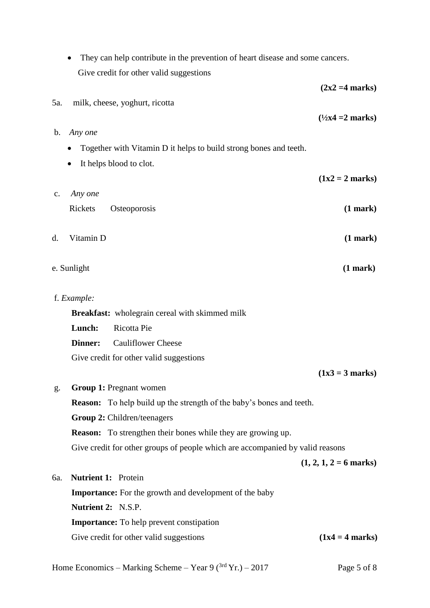|                | They can help contribute in the prevention of heart disease and some cancers. |                                     |
|----------------|-------------------------------------------------------------------------------|-------------------------------------|
|                | Give credit for other valid suggestions                                       |                                     |
|                |                                                                               | $(2x2=4$ marks)                     |
| 5a.            | milk, cheese, yoghurt, ricotta                                                |                                     |
|                |                                                                               | $(\frac{1}{2}x4 = 2 \text{ marks})$ |
| $\mathbf{b}$ . | Any one                                                                       |                                     |
|                | Together with Vitamin D it helps to build strong bones and teeth.             |                                     |
|                | It helps blood to clot.<br>٠                                                  |                                     |
|                |                                                                               | $(1x2 = 2 \text{ marks})$           |
| $\mathbf{c}$ . | Any one                                                                       |                                     |
|                | Rickets<br>Osteoporosis                                                       | (1 mark)                            |
|                |                                                                               |                                     |
| d.             | Vitamin D                                                                     | (1 mark)                            |
|                |                                                                               |                                     |
|                | e. Sunlight                                                                   | (1 mark)                            |
|                |                                                                               |                                     |
|                | f. Example:                                                                   |                                     |
|                | Breakfast: wholegrain cereal with skimmed milk                                |                                     |
|                | Ricotta Pie<br>Lunch:                                                         |                                     |
|                | <b>Cauliflower Cheese</b><br><b>Dinner:</b>                                   |                                     |
|                | Give credit for other valid suggestions                                       |                                     |
|                |                                                                               | $(1x3 = 3 marks)$                   |
| g.             | <b>Group 1: Pregnant women</b>                                                |                                     |
|                | <b>Reason:</b> To help build up the strength of the baby's bones and teeth.   |                                     |
|                | Group 2: Children/teenagers                                                   |                                     |
|                | <b>Reason:</b> To strengthen their bones while they are growing up.           |                                     |
|                | Give credit for other groups of people which are accompanied by valid reasons |                                     |
|                |                                                                               | $(1, 2, 1, 2 = 6$ marks)            |
| 6а.            | <b>Nutrient 1: Protein</b>                                                    |                                     |
|                | <b>Importance:</b> For the growth and development of the baby                 |                                     |
|                | Nutrient 2: N.S.P.                                                            |                                     |
|                | <b>Importance:</b> To help prevent constipation                               |                                     |
|                | Give credit for other valid suggestions                                       | $(1x4 = 4 marks)$                   |
|                |                                                                               |                                     |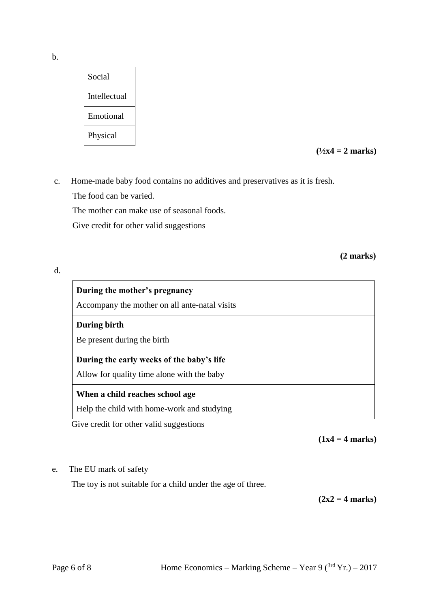b.

| Social       |
|--------------|
| Intellectual |
| Emotional    |
| Physical     |

 $(\frac{1}{2}x4 = 2 \text{ marks})$ 

c.Home-made baby food contains no additives and preservatives as it is fresh. The food can be varied.

The mother can make use of seasonal foods.

Give credit for other valid suggestions

**(2 marks)** 

## d.

## **During the mother's pregnancy**

Accompany the mother on all ante-natal visits

## **During birth**

Be present during the birth

## **During the early weeks of the baby's life**

Allow for quality time alone with the baby

## **When a child reaches school age**

Help the child with home-work and studying

Give credit for other valid suggestions

 **(1x4 = 4 marks)**

## e.The EU mark of safety

The toy is not suitable for a child under the age of three.

**(2x2 = 4 marks)**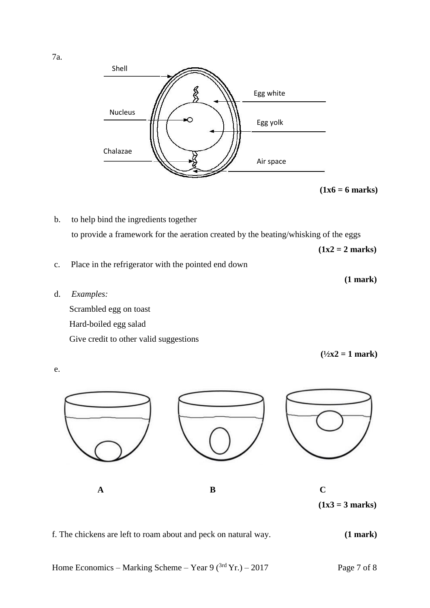

b.to help bind the ingredients together to provide a framework for the aeration created by the beating/whisking of the eggs

 **(1x2 = 2 marks)**

**(1 mark)**

- c.Place in the refrigerator with the pointed end down
- d.*Examples:*

e.

Scrambled egg on toast Hard-boiled egg salad Give credit to other valid suggestions

 $(\frac{1}{2}x^2 = 1 \text{ mark})$ 



 **(1x3 = 3 marks)**

f. The chickens are left to roam about and peck on natural way. **(1 mark)**

7a.